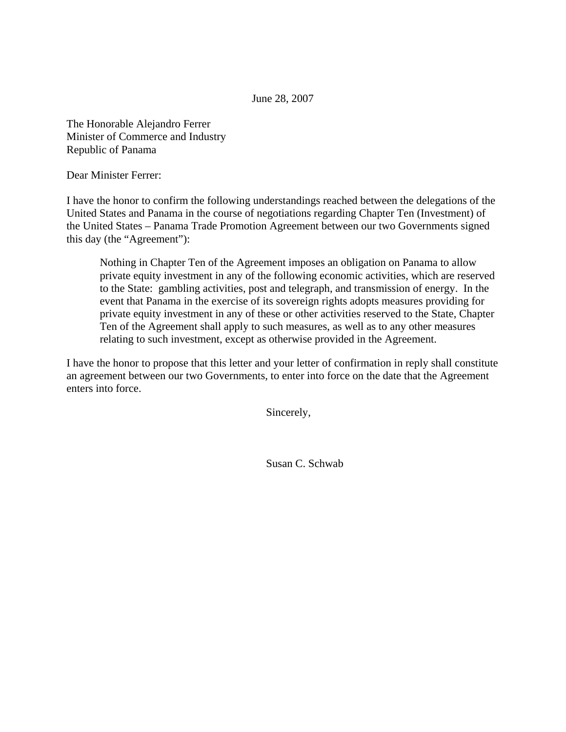June 28, 2007

The Honorable Alejandro Ferrer Minister of Commerce and Industry Republic of Panama

Dear Minister Ferrer:

I have the honor to confirm the following understandings reached between the delegations of the United States and Panama in the course of negotiations regarding Chapter Ten (Investment) of the United States – Panama Trade Promotion Agreement between our two Governments signed this day (the "Agreement"):

Nothing in Chapter Ten of the Agreement imposes an obligation on Panama to allow private equity investment in any of the following economic activities, which are reserved to the State: gambling activities, post and telegraph, and transmission of energy. In the event that Panama in the exercise of its sovereign rights adopts measures providing for private equity investment in any of these or other activities reserved to the State, Chapter Ten of the Agreement shall apply to such measures, as well as to any other measures relating to such investment, except as otherwise provided in the Agreement.

I have the honor to propose that this letter and your letter of confirmation in reply shall constitute an agreement between our two Governments, to enter into force on the date that the Agreement enters into force.

Sincerely,

Susan C. Schwab